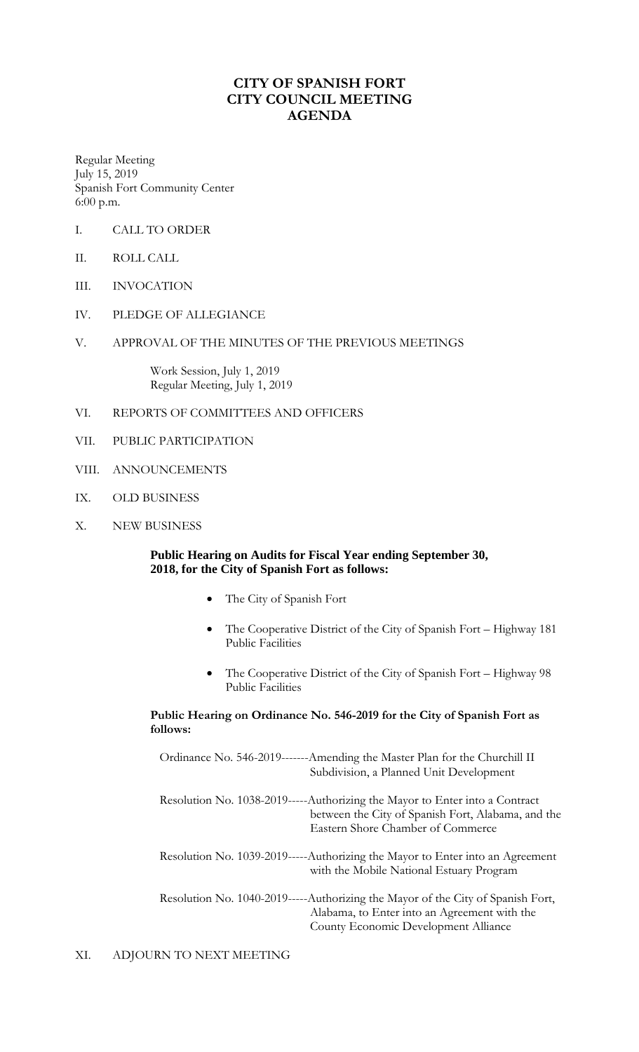## **CITY OF SPANISH FORT CITY COUNCIL MEETING AGENDA**

Regular Meeting July 15, 2019 Spanish Fort Community Center 6:00 p.m.

- I. CALL TO ORDER
- II. ROLL CALL
- III. INVOCATION
- IV. PLEDGE OF ALLEGIANCE
- V. APPROVAL OF THE MINUTES OF THE PREVIOUS MEETINGS

Work Session, July 1, 2019 Regular Meeting, July 1, 2019

- VI. REPORTS OF COMMITTEES AND OFFICERS
- VII. PUBLIC PARTICIPATION
- VIII. ANNOUNCEMENTS
- IX. OLD BUSINESS
- X. NEW BUSINESS

**Public Hearing on Audits for Fiscal Year ending September 30, 2018, for the City of Spanish Fort as follows:**

- The City of Spanish Fort
- The Cooperative District of the City of Spanish Fort Highway 181 Public Facilities
- The Cooperative District of the City of Spanish Fort Highway 98 Public Facilities

**Public Hearing on Ordinance No. 546-2019 for the City of Spanish Fort as follows:** 

| Ordinance No. 546-2019-------Amending the Master Plan for the Churchill II<br>Subdivision, a Planned Unit Development                                                   |
|-------------------------------------------------------------------------------------------------------------------------------------------------------------------------|
| Resolution No. 1038-2019-----Authorizing the Mayor to Enter into a Contract<br>between the City of Spanish Fort, Alabama, and the<br>Eastern Shore Chamber of Commerce  |
| Resolution No. 1039-2019-----Authorizing the Mayor to Enter into an Agreement<br>with the Mobile National Estuary Program                                               |
| Resolution No. 1040-2019-----Authorizing the Mayor of the City of Spanish Fort,<br>Alabama, to Enter into an Agreement with the<br>County Economic Development Alliance |